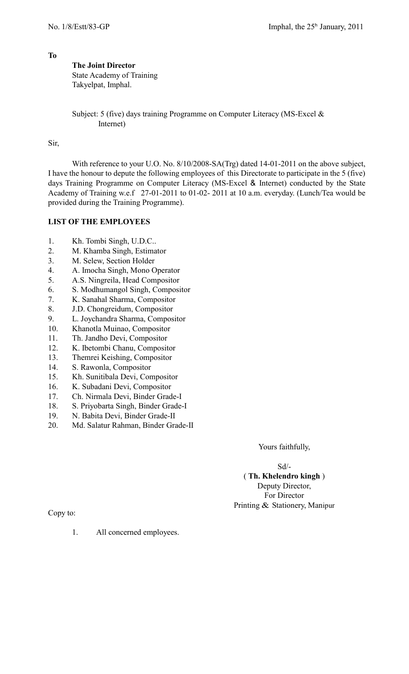## **The Joint Director**

State Academy of Training Takyelpat, Imphal.

Subject: 5 (five) days training Programme on Computer Literacy (MS-Excel & Internet)

Sir,

With reference to your U.O. No.  $8/10/2008-SA(Trg)$  dated 14-01-2011 on the above subject, I have the honour to depute the following employees of this Directorate to participate in the 5 (five) days Training Programme on Computer Literacy (MS-Excel & Internet) conducted by the State Academy of Training w.e.f 27-01-2011 to 01-02- 2011 at 10 a.m. everyday. (Lunch/Tea would be provided during the Training Programme).

## **LIST OF THE EMPLOYEES**

- 1. Kh. Tombi Singh, U.D.C..
- 2. M. Khamba Singh, Estimator
- 3. M. Selew, Section Holder
- 4. A. Imocha Singh, Mono Operator
- 5. A.S. Ningreila, Head Compositor
- 6. S. Modhumangol Singh, Compositor
- 7. K. Sanahal Sharma, Compositor
- 8. J.D. Chongreidum, Compositor
- 9. L. Joychandra Sharma, Compositor
- 10. Khanotla Muinao, Compositor
- 11. Th. Jandho Devi, Compositor
- 12. K. Ibetombi Chanu, Compositor
- 13. Themrei Keishing, Compositor
- 14. S. Rawonla, Compositor
- 15. Kh. Sunitibala Devi, Compositor
- 16. K. Subadani Devi, Compositor
- 17. Ch. Nirmala Devi, Binder Grade-I
- 18. S. Priyobarta Singh, Binder Grade-I
- 19. N. Babita Devi, Binder Grade-II
- 20. Md. Salatur Rahman, Binder Grade-II

Yours faithfully,

Sd/- ( **Th. Khelendro kingh** ) Deputy Director, For Director Printing & Stationery, Manipur

Copy to:

1. All concerned employees.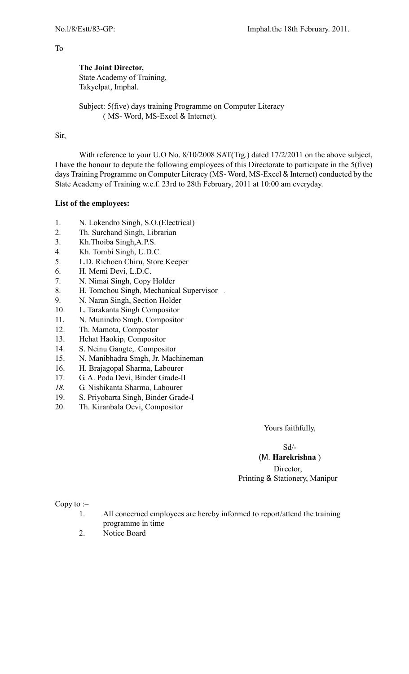**The Joint Director,** State Academy of Training, Takyelpat, Imphal.

Subject: 5(five) days training Programme on Computer Literacy ( MS- Word, MS-Excel & Internet).

## Sir,

With reference to your U.O No. 8/10/2008 SAT(Trg.) dated 17/2/2011 on the above subject, I have the honour to depute the following employees of this Directorate to participate in the 5(five) days Training Programme on Computer Literacy (MS- Word, MS-Excel & Internet) conducted by the State Academy of Training w.e.f. 23rd to 28th February, 2011 at 10:00 am everyday.

## **List of the employees:**

- 1. N. Lokendro Singh, S.O.(Electrical)
- 2. Th. Surchand Singh, Librarian
- 3. Kh.Thoiba Singh,A.P.S.
- 4. Kh. Tombi Singh, U.D.C.
- 5. L.D. Richoen Chiru, Store Keeper
- 6. H. Memi Devi, L.D.C.
- 7. N. Nimai Singh, Copy Holder
- 8. H. Tomchou Singh, Mechanical Supervisor .
- 9. N. Naran Singh, Section Holder
- 10. L. Tarakanta Singh Compositor
- 11. N. Munindro Smgh. Compositor
- 12. Th. Mamota, Compostor
- 13. Hehat Haokip, Compositor
- 14. S. Neinu Gangte,. Compositor
- 15. N. Manibhadra Smgh, Jr. Machineman
- 16. H. Brajagopal Sharma, Labourer
- 17. G. A. Poda Devi, Binder Grade-II
- *18.* G. Nishikanta Sharma, Labourer
- 19. S. Priyobarta Singh, Binder Grade-I
- 20. Th. Kiranbala Oevi, Compositor

Yours faithfully,

Sd/-

# (M. **Harekrishna** )

Director, Printing & Stationery, Manipur

Copy to :–

- 1. All concerned employees are hereby informed to report/attend the training programme in time
- 2. Notice Board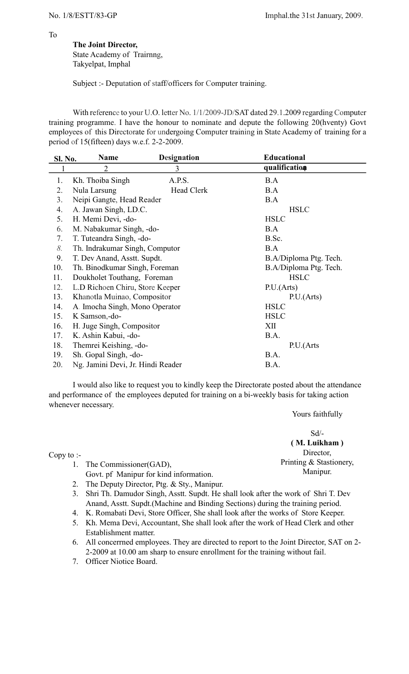**The Joint Director,** State Academy of Trairnng,

Takyelpat, Imphal

Subject :- Deputation of staff/officers for Computer training.

With reference to your U.O. letter No. 1/1/2009-JD/SAT dated 29.1.2009 regarding Computer training programme. I have the honour to nominate and depute the following 20(hventy) Govt employees of this Directorate for undergoing Computer training in State Academy of training for a period of 15(fifteen) days w.e.f. 2-2-2009.

| Sl. No. | <b>Name</b>                                                                                 | <b>Designation</b> | <b>Educational</b>     |
|---------|---------------------------------------------------------------------------------------------|--------------------|------------------------|
|         | $\overline{2}$                                                                              | 3                  | qualification          |
| 1.      | Kh. Thoiba Singh                                                                            | A.P.S.             | B.A                    |
| 2.      | Nula Larsung                                                                                | Head Clerk         | B.A                    |
| 3.      | Neipi Gangte, Head Reader                                                                   |                    | B.A                    |
| 4.      | A. Jawan Singh, LD.C.                                                                       |                    | <b>HSLC</b>            |
| 5.      | H. Memi Devi, -do-                                                                          |                    | <b>HSLC</b>            |
| 6.      | M. Nabakumar Singh, -do-<br>T. Tuteandra Singh, -do-<br>Th. Indrakumar Singh, Computor      |                    | B.A                    |
| 7.      |                                                                                             |                    | B.Sc.                  |
| 8.      | T. Dev Anand, Asstt. Supdt.<br>Th. Binodkumar Singh, Foreman<br>Doukholet Touthang, Foreman |                    | B.A                    |
| 9.      |                                                                                             |                    | B.A/Diploma Ptg. Tech. |
| 10.     | L.D Richoen Chiru, Store Keeper                                                             |                    | B.A/Diploma Ptg. Tech. |
| 11.     |                                                                                             |                    | <b>HSLC</b>            |
| 12.     |                                                                                             |                    | P.U.(Arts)             |
| 13.     | Khanotla Muinao, Compositor                                                                 |                    | P.U.(Arts)             |
| 14.     | A. Imocha Singh, Mono Operator                                                              |                    | <b>HSLC</b>            |
| 15.     | K Samson,-do-                                                                               |                    | <b>HSLC</b>            |
| 16.     | H. Juge Singh, Compositor                                                                   |                    | XII                    |
| 17.     | K. Ashin Kabui, -do-                                                                        |                    | B.A.                   |
| 18.     | Themrei Keishing, -do-                                                                      |                    | P.U.(Arts              |
| 19.     | Sh. Gopal Singh, -do-                                                                       |                    | B.A.                   |
| 20.     | Ng. Jamini Devi, Jr. Hindi Reader                                                           |                    | B.A.                   |

I would also like to request you to kindly keep the Directorate posted about the attendance and performance of the employees deputed for training on a bi-weekly basis for taking action whenever necessary.

Yours faithfully

Copy to :-

- 1. The Commissioner(GAD),
	- Govt. pf Manipur for kind information.
- 2. The Deputy Director, Ptg. & Sty., Manipur.
- 3. Shri Th. Damudor Singh, Asstt. Supdt. He shall look after the work of Shri T. Dev Anand, Asstt. Supdt.(Machine and Binding Sections) during the training period.
- 4. K. Romabati Devi, Store Officer, She shall look after the works of Store Keeper.
- 5. Kh. Mema Devi, Accountant, She shall look after the work of Head Clerk and other Establishment matter.
- 6. All concerrned employees. They are directed to report to the Joint Director, SAT on 2- 2-2009 at 10.00 am sharp to ensure enrollment for the training without fail.
- 7. Officer Niotice Board.

Sd/- **( M. Luikham )** Director, Printing & Stastionery, Manipur.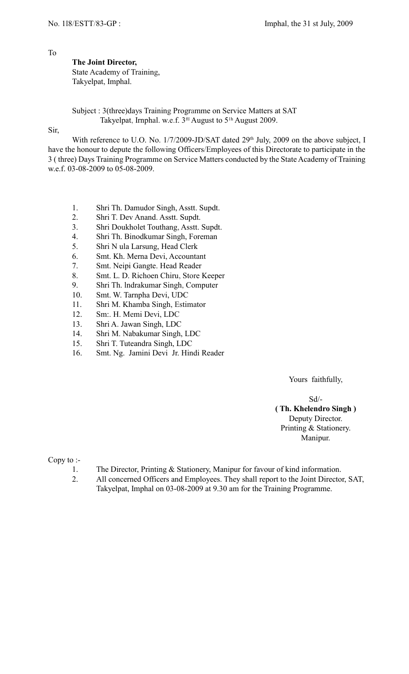**The Joint Director,** State Academy of Training, Takyelpat, Imphal.

Subject : 3(three)days Training Programme on Service Matters at SAT Takyelpat, Irnphal. w.e.f.  $3<sup>fil</sup>$  August to  $5<sup>lh</sup>$  August 2009.

Sir,

With reference to U.O. No. 1/7/2009-JD/SAT dated 29<sup>th</sup> July, 2009 on the above subject, I have the honour to depute the following Officers/Employees of this Directorate to participate in the 3 ( three) Days Training Programme on Service Matters conducted by the State Academy of Training w.e.f. 03-08-2009 to 05-08-2009.

- 1. Shri Th. Damudor Singh, Asstt. Supdt.
- 2. Shri T. Dev Anand. Asstt. Supdt.
- 3. Shri Doukholet Touthang, Asstt. Supdt.
- 4. Shri Th. Binodkumar Singh, Foreman
- 5. Shri N ula Larsung, Head Clerk
- 6. Smt. Kh. Merna Devi, Accountant
- 7. Smt. Neipi Gangte. Head Reader
- 8. Smt. L. D. Richoen Chiru, Store Keeper
- 9. Shri Th. lndrakumar Singh, Computer
- 10. Smt. W. Tarnpha Devi, UDC
- 11. Shri M. Khamba Singh, Estimator
- 12. Sm:. H. Memi Devi, LDC
- 13. Shri A. Jawan Singh, LDC
- 14. Shri M. Nabakumar Singh, LDC
- 15. Shri T. Tuteandra Singh, LDC
- 16. Smt. Ng. Jamini Devi Jr. Hindi Reader

Yours faithfully,

Sd/- **( Th. Khelendro Singh )** Deputy Director. Printing & Stationery. Manipur.

Copy to :-

- 1. The Director, Printing & Stationery, Manipur for favour of kind information.
- 2. All concerned Officers and Employees. They shall report to the Joint Director, SAT, Takyelpat, Imphal on 03-08-2009 at 9.30 am for the Training Programme.